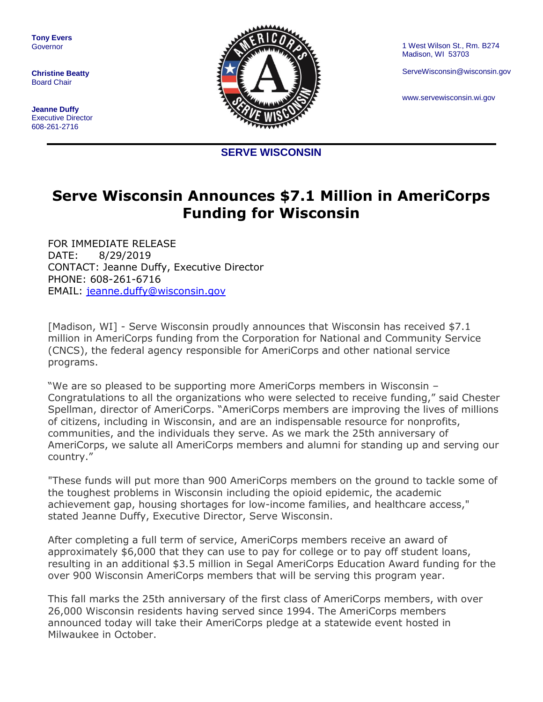**Tony Evers** Governor

**Christine Beatty** Board Chair

**Jeanne Duffy** Executive Director 608-261-2716



1 West Wilson St., Rm. B274 Madison, WI 53703

ServeWisconsin@wisconsin.gov

www.servewisconsin.wi.gov

**SERVE WISCONSIN**

## **Serve Wisconsin Announces \$7.1 Million in AmeriCorps Funding for Wisconsin**

FOR IMMEDIATE RELEASE DATE: 8/29/2019 CONTACT: Jeanne Duffy, Executive Director PHONE: 608-261-6716 EMAIL: [jeanne.duffy@wisconsin.gov](mailto:jeanne.duffy@wisconsin.gov)

[Madison, WI] - Serve Wisconsin proudly announces that Wisconsin has received \$7.1 million in AmeriCorps funding from the Corporation for National and Community Service (CNCS), the federal agency responsible for AmeriCorps and other national service programs.

"We are so pleased to be supporting more AmeriCorps members in Wisconsin – Congratulations to all the organizations who were selected to receive funding," said Chester Spellman, director of AmeriCorps. "AmeriCorps members are improving the lives of millions of citizens, including in Wisconsin, and are an indispensable resource for nonprofits, communities, and the individuals they serve. As we mark the 25th anniversary of AmeriCorps, we salute all AmeriCorps members and alumni for standing up and serving our country."

"These funds will put more than 900 AmeriCorps members on the ground to tackle some of the toughest problems in Wisconsin including the opioid epidemic, the academic achievement gap, housing shortages for low-income families, and healthcare access," stated Jeanne Duffy, Executive Director, Serve Wisconsin.

After completing a full term of service, AmeriCorps members receive an award of approximately \$6,000 that they can use to pay for college or to pay off student loans, resulting in an additional \$3.5 million in Segal AmeriCorps Education Award funding for the over 900 Wisconsin AmeriCorps members that will be serving this program year.

This fall marks the 25th anniversary of the first class of AmeriCorps members, with over 26,000 Wisconsin residents having served since 1994. The AmeriCorps members announced today will take their AmeriCorps pledge at a statewide event hosted in Milwaukee in October.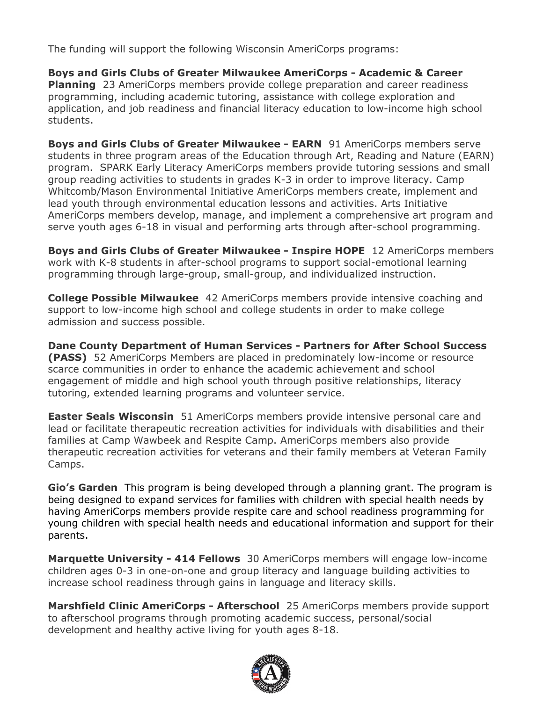The funding will support the following Wisconsin AmeriCorps programs:

**Boys and Girls Clubs of Greater Milwaukee AmeriCorps - Academic & Career Planning** 23 AmeriCorps members provide college preparation and career readiness programming, including academic tutoring, assistance with college exploration and application, and job readiness and financial literacy education to low-income high school students.

**Boys and Girls Clubs of Greater Milwaukee - EARN** 91 AmeriCorps members serve students in three program areas of the Education through Art, Reading and Nature (EARN) program. SPARK Early Literacy AmeriCorps members provide tutoring sessions and small group reading activities to students in grades K-3 in order to improve literacy. Camp Whitcomb/Mason Environmental Initiative AmeriCorps members create, implement and lead youth through environmental education lessons and activities. Arts Initiative AmeriCorps members develop, manage, and implement a comprehensive art program and serve youth ages 6-18 in visual and performing arts through after-school programming.

**Boys and Girls Clubs of Greater Milwaukee - Inspire HOPE** 12 AmeriCorps members work with K-8 students in after-school programs to support social-emotional learning programming through large-group, small-group, and individualized instruction.

**College Possible Milwaukee** 42 AmeriCorps members provide intensive coaching and support to low-income high school and college students in order to make college admission and success possible.

**Dane County Department of Human Services - Partners for After School Success (PASS)** 52 AmeriCorps Members are placed in predominately low-income or resource scarce communities in order to enhance the academic achievement and school engagement of middle and high school youth through positive relationships, literacy tutoring, extended learning programs and volunteer service.

**Easter Seals Wisconsin** 51 AmeriCorps members provide intensive personal care and lead or facilitate therapeutic recreation activities for individuals with disabilities and their families at Camp Wawbeek and Respite Camp. AmeriCorps members also provide therapeutic recreation activities for veterans and their family members at Veteran Family Camps.

**Gio's Garden** This program is being developed through a planning grant. The program is being designed to expand services for families with children with special health needs by having AmeriCorps members provide respite care and school readiness programming for young children with special health needs and educational information and support for their parents.

**Marquette University - 414 Fellows** 30 AmeriCorps members will engage low-income children ages 0-3 in one-on-one and group literacy and language building activities to increase school readiness through gains in language and literacy skills.

**Marshfield Clinic AmeriCorps - Afterschool** 25 AmeriCorps members provide support to afterschool programs through promoting academic success, personal/social development and healthy active living for youth ages 8-18.

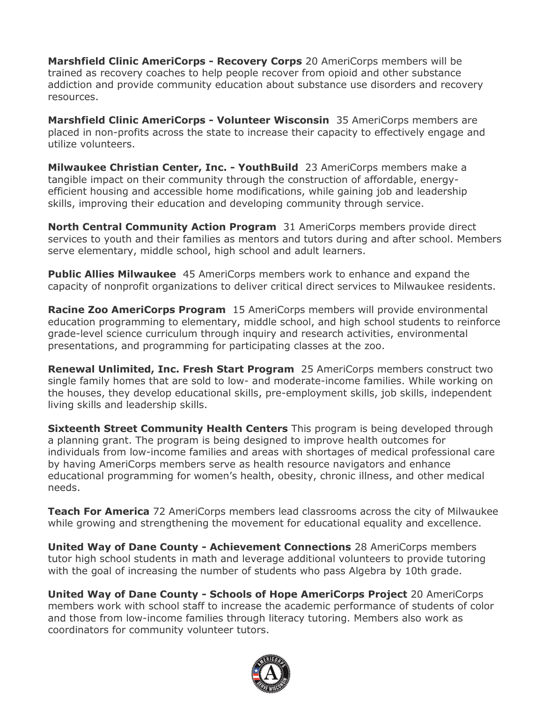**Marshfield Clinic AmeriCorps - Recovery Corps** 20 AmeriCorps members will be trained as recovery coaches to help people recover from opioid and other substance addiction and provide community education about substance use disorders and recovery resources.

**Marshfield Clinic AmeriCorps - Volunteer Wisconsin** 35 AmeriCorps members are placed in non-profits across the state to increase their capacity to effectively engage and utilize volunteers.

**Milwaukee Christian Center, Inc. - YouthBuild** 23 AmeriCorps members make a tangible impact on their community through the construction of affordable, energyefficient housing and accessible home modifications, while gaining job and leadership skills, improving their education and developing community through service.

**North Central Community Action Program** 31 AmeriCorps members provide direct services to youth and their families as mentors and tutors during and after school. Members serve elementary, middle school, high school and adult learners.

**Public Allies Milwaukee** 45 AmeriCorps members work to enhance and expand the capacity of nonprofit organizations to deliver critical direct services to Milwaukee residents.

**Racine Zoo AmeriCorps Program** 15 AmeriCorps members will provide environmental education programming to elementary, middle school, and high school students to reinforce grade-level science curriculum through inquiry and research activities, environmental presentations, and programming for participating classes at the zoo.

**Renewal Unlimited, Inc. Fresh Start Program** 25 AmeriCorps members construct two single family homes that are sold to low- and moderate-income families. While working on the houses, they develop educational skills, pre-employment skills, job skills, independent living skills and leadership skills.

**Sixteenth Street Community Health Centers** This program is being developed through a planning grant. The program is being designed to improve health outcomes for individuals from low-income families and areas with shortages of medical professional care by having AmeriCorps members serve as health resource navigators and enhance educational programming for women's health, obesity, chronic illness, and other medical needs.

**Teach For America** 72 AmeriCorps members lead classrooms across the city of Milwaukee while growing and strengthening the movement for educational equality and excellence.

**United Way of Dane County - Achievement Connections** 28 AmeriCorps members tutor high school students in math and leverage additional volunteers to provide tutoring with the goal of increasing the number of students who pass Algebra by 10th grade.

**United Way of Dane County - Schools of Hope AmeriCorps Project** 20 AmeriCorps members work with school staff to increase the academic performance of students of color and those from low-income families through literacy tutoring. Members also work as coordinators for community volunteer tutors.

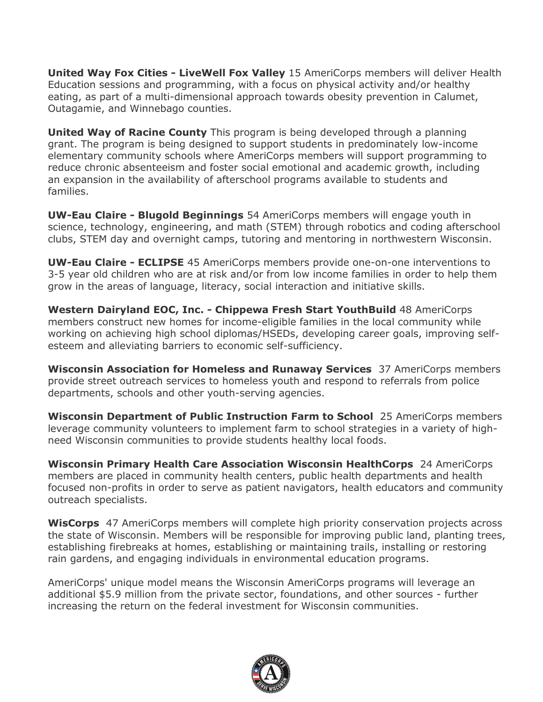**United Way Fox Cities - LiveWell Fox Valley** 15 AmeriCorps members will deliver Health Education sessions and programming, with a focus on physical activity and/or healthy eating, as part of a multi-dimensional approach towards obesity prevention in Calumet, Outagamie, and Winnebago counties.

**United Way of Racine County** This program is being developed through a planning grant. The program is being designed to support students in predominately low-income elementary community schools where AmeriCorps members will support programming to reduce chronic absenteeism and foster social emotional and academic growth, including an expansion in the availability of afterschool programs available to students and families.

**UW-Eau Claire - Blugold Beginnings** 54 AmeriCorps members will engage youth in science, technology, engineering, and math (STEM) through robotics and coding afterschool clubs, STEM day and overnight camps, tutoring and mentoring in northwestern Wisconsin.

**UW-Eau Claire - ECLIPSE** 45 AmeriCorps members provide one-on-one interventions to 3-5 year old children who are at risk and/or from low income families in order to help them grow in the areas of language, literacy, social interaction and initiative skills.

**Western Dairyland EOC, Inc. - Chippewa Fresh Start YouthBuild** 48 AmeriCorps members construct new homes for income-eligible families in the local community while working on achieving high school diplomas/HSEDs, developing career goals, improving selfesteem and alleviating barriers to economic self-sufficiency.

**Wisconsin Association for Homeless and Runaway Services** 37 AmeriCorps members provide street outreach services to homeless youth and respond to referrals from police departments, schools and other youth-serving agencies.

**Wisconsin Department of Public Instruction Farm to School** 25 AmeriCorps members leverage community volunteers to implement farm to school strategies in a variety of highneed Wisconsin communities to provide students healthy local foods.

**Wisconsin Primary Health Care Association Wisconsin HealthCorps** 24 AmeriCorps members are placed in community health centers, public health departments and health focused non-profits in order to serve as patient navigators, health educators and community outreach specialists.

**WisCorps** 47 AmeriCorps members will complete high priority conservation projects across the state of Wisconsin. Members will be responsible for improving public land, planting trees, establishing firebreaks at homes, establishing or maintaining trails, installing or restoring rain gardens, and engaging individuals in environmental education programs.

AmeriCorps' unique model means the Wisconsin AmeriCorps programs will leverage an additional \$5.9 million from the private sector, foundations, and other sources - further increasing the return on the federal investment for Wisconsin communities.